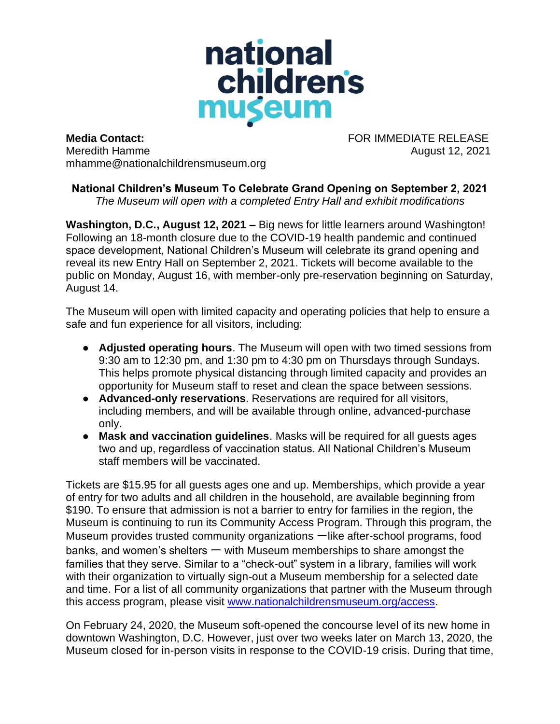

**Media Contact:** FOR IMMEDIATE RELEASE Meredith Hamme August 12, 2021 mhamme@nationalchildrensmuseum.org

## **National Children's Museum To Celebrate Grand Opening on September 2, 2021**  *The Museum will open with a completed Entry Hall and exhibit modifications*

**Washington, D.C., August 12, 2021 –** Big news for little learners around Washington! Following an 18-month closure due to the COVID-19 health pandemic and continued space development, National Children's Museum will celebrate its grand opening and reveal its new Entry Hall on September 2, 2021. Tickets will become available to the public on Monday, August 16, with member-only pre-reservation beginning on Saturday, August 14.

The Museum will open with limited capacity and operating policies that help to ensure a safe and fun experience for all visitors, including:

- **Adjusted operating hours**. The Museum will open with two timed sessions from 9:30 am to 12:30 pm, and 1:30 pm to 4:30 pm on Thursdays through Sundays. This helps promote physical distancing through limited capacity and provides an opportunity for Museum staff to reset and clean the space between sessions.
- **Advanced-only reservations**. Reservations are required for all visitors, including members, and will be available through online, advanced-purchase only.
- **Mask and vaccination guidelines**. Masks will be required for all guests ages two and up, regardless of vaccination status. All National Children's Museum staff members will be vaccinated.

Tickets are \$15.95 for all guests ages one and up. Memberships, which provide a year of entry for two adults and all children in the household, are available beginning from \$190. To ensure that admission is not a barrier to entry for families in the region, the Museum is continuing to run its Community Access Program. Through this program, the Museum provides trusted community organizations 一like after-school programs, food banks, and women's shelters  $-$  with Museum memberships to share amongst the families that they serve. Similar to a "check-out" system in a library, families will work with their organization to virtually sign-out a Museum membership for a selected date and time. For a list of all community organizations that partner with the Museum through this access program, please visit [www.nationalchildrensmuseum.org/access.](https://nationalchildrensmuseum.org/access/?utm_source=press_release&utm_medium=website&utm_campaign=grand_opening_press_release)

On February 24, 2020, the Museum soft-opened the concourse level of its new home in downtown Washington, D.C. However, just over two weeks later on March 13, 2020, the Museum closed for in-person visits in response to the COVID-19 crisis. During that time,